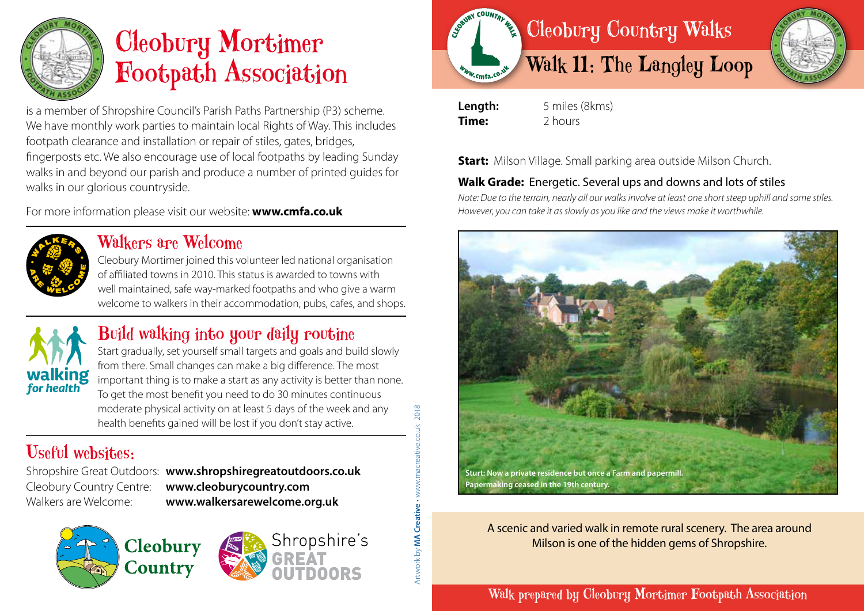

# Cleobury Mortimer Footpath Association

is a member of Shropshire Council's Parish Paths Partnership (P3) scheme. We have monthly work parties to maintain local Rights of Way. This includes footpath clearance and installation or repair of stiles, gates, bridges, fingerposts etc. We also encourage use of local footpaths by leading Sunday walks in and beyond our parish and produce a number of printed guides for walks in our glorious countryside.

For more information please visit our website: **www.cmfa.co.uk**



#### Walkers are Welcome

Cleobury Mortimer joined this volunteer led national organisation of affiliated towns in 2010. This status is awarded to towns with well maintained, safe way-marked footpaths and who give a warm welcome to walkers in their accommodation, pubs, cafes, and shops.



## Build walking into your daily routine

Start gradually, set yourself small targets and goals and build slowly from there. Small changes can make a big difference. The most important thing is to make a start as any activity is better than none. To get the most benefit you need to do 30 minutes continuous moderate physical activity on at least 5 days of the week and any health benefits gained will be lost if you don't stay active.

# Useful websites:

Shropshire Great Outdoors: **www.shropshiregreatoutdoors.co.uk**  Cleobury Country Centre: **www.cleoburycountry.com** Walkers are Welcome: **www.walkersarewelcome.org.uk**

Shropshire's



2018





**Length:** 5 miles (8kms) **Time:** 2 hours

**Start:** Milson Village. Small parking area outside Milson Church.

#### **Walk Grade:** Energetic. Several ups and downs and lots of stiles

*Note: Due to the terrain, nearly all our walks involve at least one short steep uphill and some stiles. However, you can take it as slowly as you like and the views make it worthwhile.*



A scenic and varied walk in remote rural scenery. The area around Milson is one of the hidden gems of Shropshire.

#### Walk prepared by Cleobury Mortimer Footpath Association